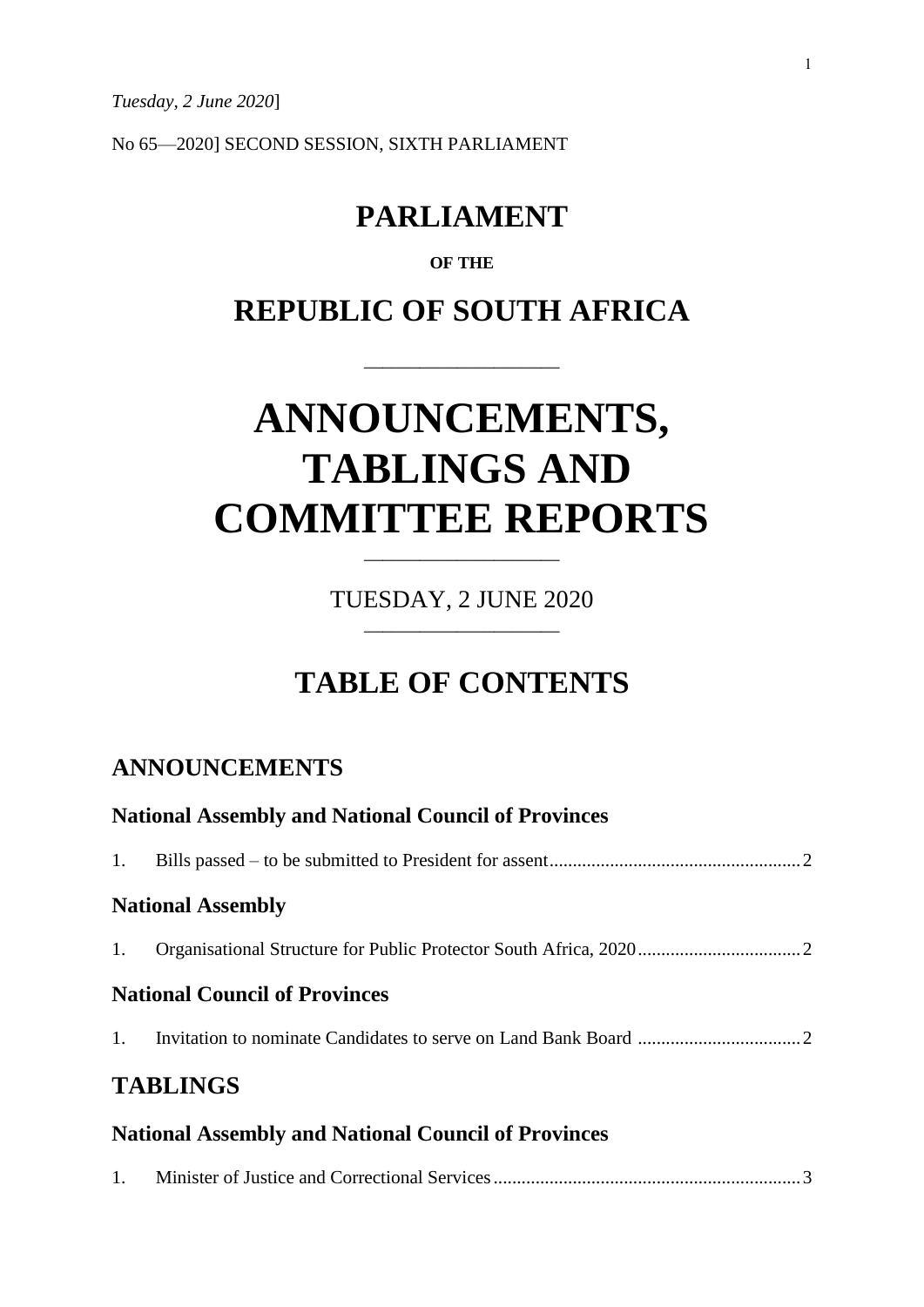No 65—2020] SECOND SESSION, SIXTH PARLIAMENT

# **PARLIAMENT**

### **OF THE**

# **REPUBLIC OF SOUTH AFRICA**

\_\_\_\_\_\_\_\_\_\_\_\_\_\_\_\_\_\_\_\_\_

# **ANNOUNCEMENTS, TABLINGS AND COMMITTEE REPORTS**

TUESDAY, 2 JUNE 2020 \_\_\_\_\_\_\_\_\_\_\_\_\_\_\_\_\_\_\_\_\_

\_\_\_\_\_\_\_\_\_\_\_\_\_\_\_\_\_\_\_\_\_

# **TABLE OF CONTENTS**

### **ANNOUNCEMENTS**

|    | <b>National Assembly and National Council of Provinces</b> |
|----|------------------------------------------------------------|
| 1. |                                                            |
|    | <b>National Assembly</b>                                   |
| 1. |                                                            |
|    | <b>National Council of Provinces</b>                       |
|    |                                                            |
|    | <b>TABLINGS</b>                                            |
|    | <b>National Assembly and National Council of Provinces</b> |
|    |                                                            |

1. Minister of Justice and Correctional Services..................................................................3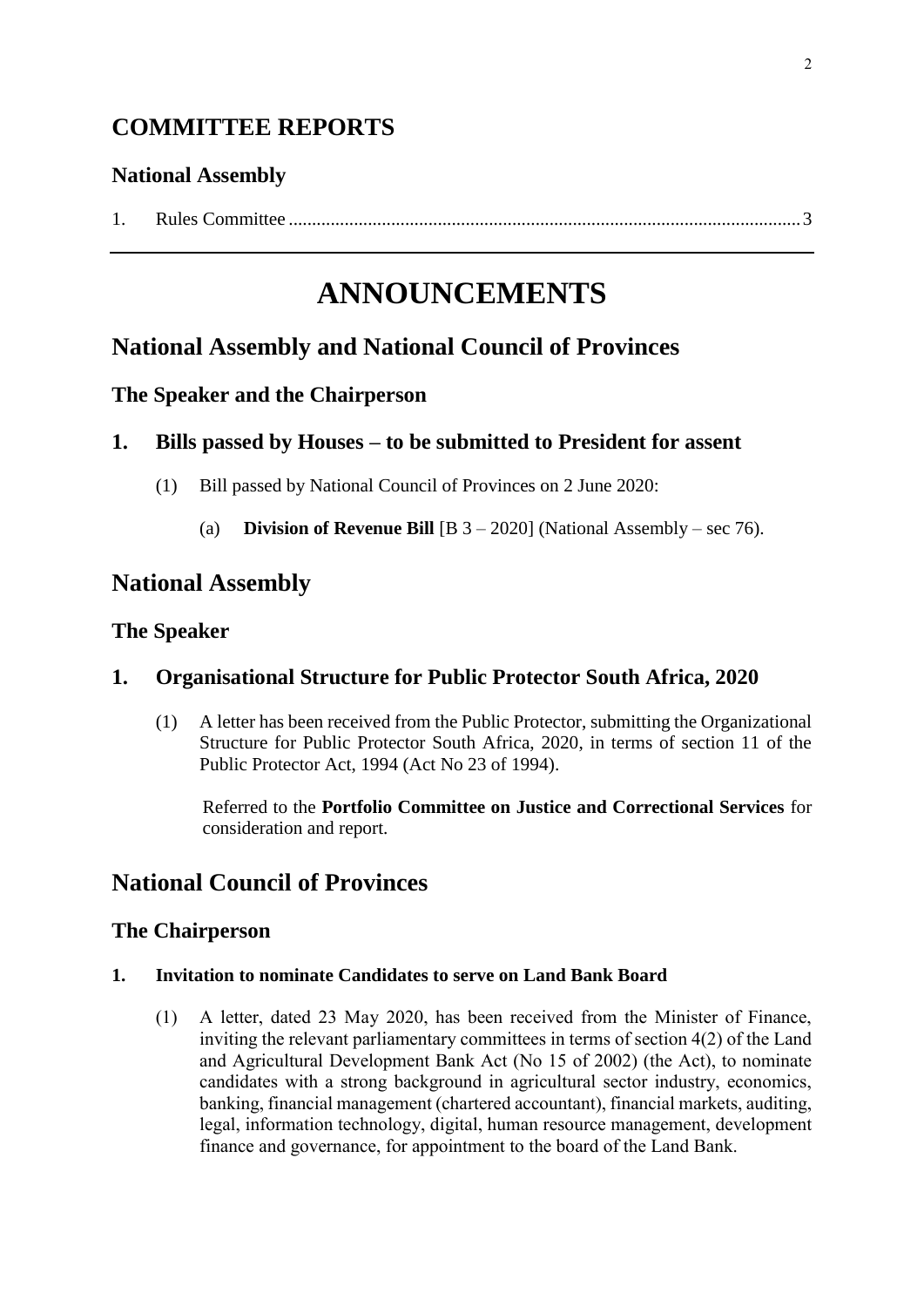### **COMMITTEE REPORTS**

### **National Assembly**

| . . |  |
|-----|--|
|-----|--|

# **ANNOUNCEMENTS**

### **National Assembly and National Council of Provinces**

### **The Speaker and the Chairperson**

### **1. Bills passed by Houses – to be submitted to President for assent**

- (1) Bill passed by National Council of Provinces on 2 June 2020:
	- (a) **Division of Revenue Bill** [B 3 2020] (National Assembly sec 76).

### **National Assembly**

### **The Speaker**

### **1. Organisational Structure for Public Protector South Africa, 2020**

(1) A letter has been received from the Public Protector, submitting the Organizational Structure for Public Protector South Africa, 2020, in terms of section 11 of the Public Protector Act, 1994 (Act No 23 of 1994).

Referred to the **Portfolio Committee on Justice and Correctional Services** for consideration and report.

### **National Council of Provinces**

### **The Chairperson**

#### **1. Invitation to nominate Candidates to serve on Land Bank Board**

(1) A letter, dated 23 May 2020, has been received from the Minister of Finance, inviting the relevant parliamentary committees in terms of section 4(2) of the Land and Agricultural Development Bank Act (No 15 of 2002) (the Act), to nominate candidates with a strong background in agricultural sector industry, economics, banking, financial management (chartered accountant), financial markets, auditing, legal, information technology, digital, human resource management, development finance and governance, for appointment to the board of the Land Bank.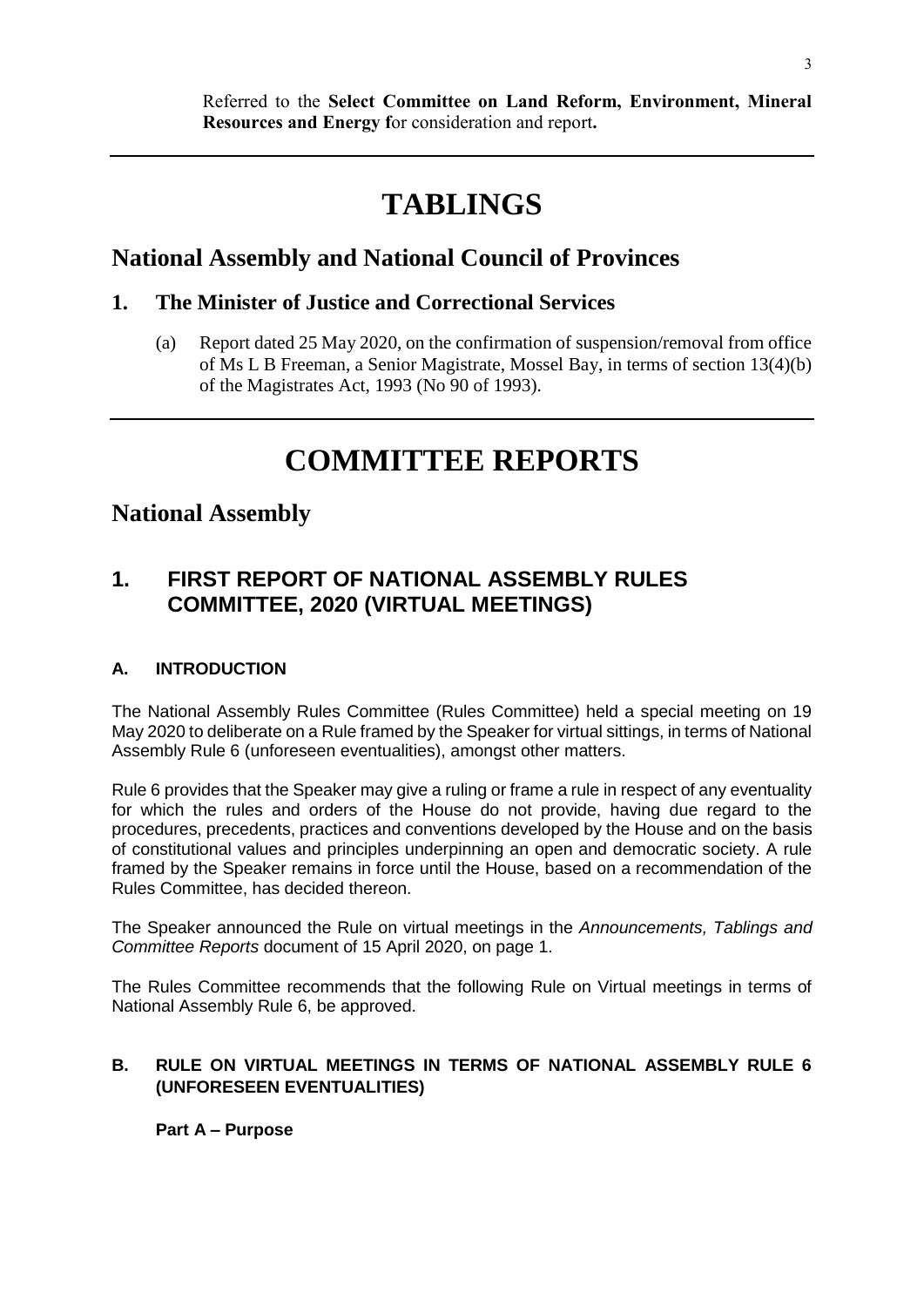# **TABLINGS**

### **National Assembly and National Council of Provinces**

### **1. The Minister of Justice and Correctional Services**

(a) Report dated 25 May 2020, on the confirmation of suspension/removal from office of Ms L B Freeman, a Senior Magistrate, Mossel Bay, in terms of section 13(4)(b) of the Magistrates Act, 1993 (No 90 of 1993).

# **COMMITTEE REPORTS**

### **National Assembly**

### **1. FIRST REPORT OF NATIONAL ASSEMBLY RULES COMMITTEE, 2020 (VIRTUAL MEETINGS)**

### **A. INTRODUCTION**

The National Assembly Rules Committee (Rules Committee) held a special meeting on 19 May 2020 to deliberate on a Rule framed by the Speaker for virtual sittings, in terms of National Assembly Rule 6 (unforeseen eventualities), amongst other matters.

Rule 6 provides that the Speaker may give a ruling or frame a rule in respect of any eventuality for which the rules and orders of the House do not provide, having due regard to the procedures, precedents, practices and conventions developed by the House and on the basis of constitutional values and principles underpinning an open and democratic society. A rule framed by the Speaker remains in force until the House, based on a recommendation of the Rules Committee, has decided thereon.

The Speaker announced the Rule on virtual meetings in the *Announcements, Tablings and Committee Reports* document of 15 April 2020, on page 1.

The Rules Committee recommends that the following Rule on Virtual meetings in terms of National Assembly Rule 6, be approved.

### **B. RULE ON VIRTUAL MEETINGS IN TERMS OF NATIONAL ASSEMBLY RULE 6 (UNFORESEEN EVENTUALITIES)**

### **Part A – Purpose**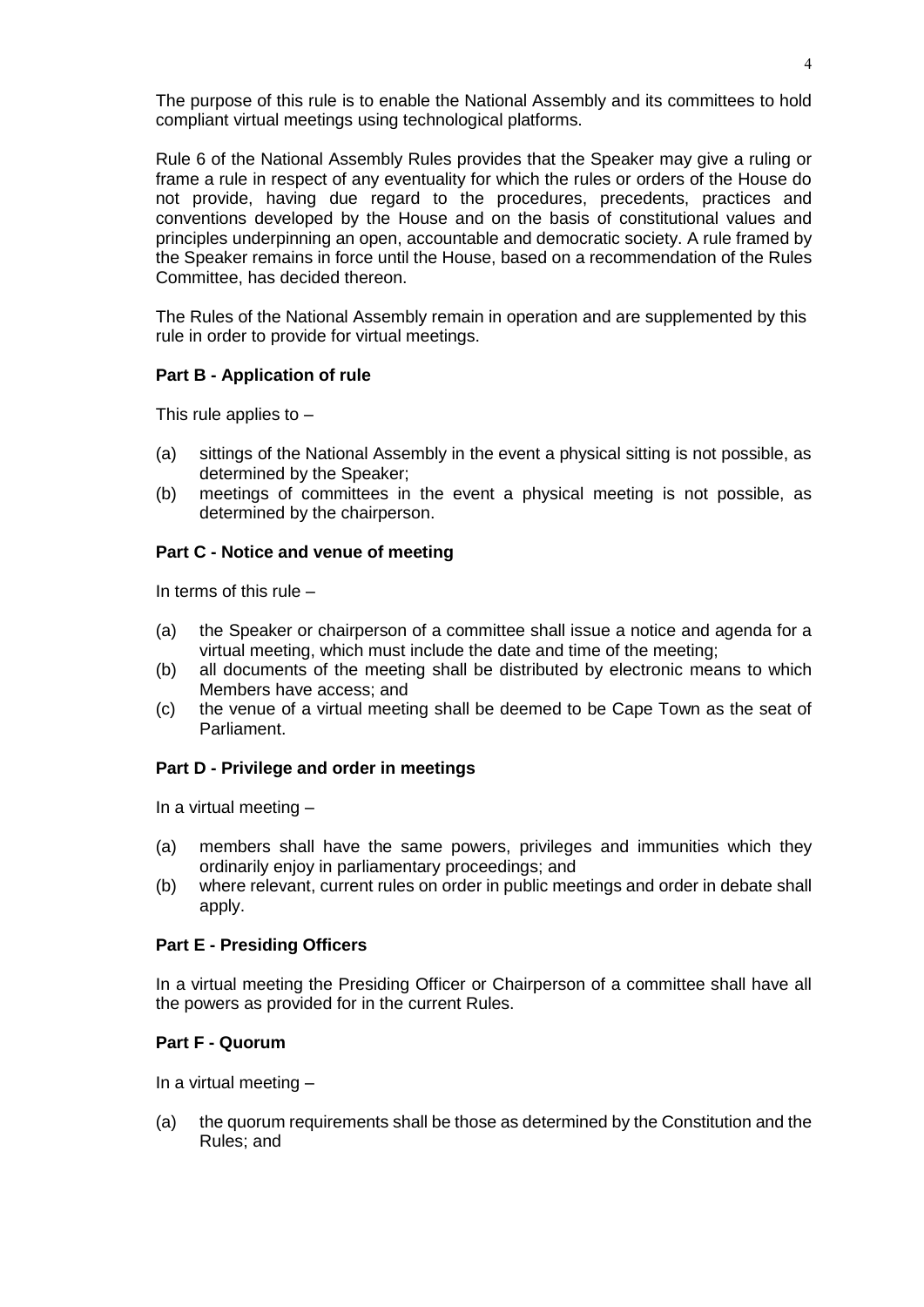The purpose of this rule is to enable the National Assembly and its committees to hold compliant virtual meetings using technological platforms.

Rule 6 of the National Assembly Rules provides that the Speaker may give a ruling or frame a rule in respect of any eventuality for which the rules or orders of the House do not provide, having due regard to the procedures, precedents, practices and conventions developed by the House and on the basis of constitutional values and principles underpinning an open, accountable and democratic society. A rule framed by the Speaker remains in force until the House, based on a recommendation of the Rules Committee, has decided thereon.

The Rules of the National Assembly remain in operation and are supplemented by this rule in order to provide for virtual meetings.

#### **Part B - Application of rule**

This rule applies to  $-$ 

- (a) sittings of the National Assembly in the event a physical sitting is not possible, as determined by the Speaker;
- (b) meetings of committees in the event a physical meeting is not possible, as determined by the chairperson.

#### **Part C - Notice and venue of meeting**

In terms of this rule –

- (a) the Speaker or chairperson of a committee shall issue a notice and agenda for a virtual meeting, which must include the date and time of the meeting;
- (b) all documents of the meeting shall be distributed by electronic means to which Members have access; and
- (c) the venue of a virtual meeting shall be deemed to be Cape Town as the seat of Parliament.

#### **Part D - Privilege and order in meetings**

In a virtual meeting –

- (a) members shall have the same powers, privileges and immunities which they ordinarily enjoy in parliamentary proceedings; and
- (b) where relevant, current rules on order in public meetings and order in debate shall apply.

#### **Part E - Presiding Officers**

In a virtual meeting the Presiding Officer or Chairperson of a committee shall have all the powers as provided for in the current Rules.

#### **Part F - Quorum**

In a virtual meeting –

(a) the quorum requirements shall be those as determined by the Constitution and the Rules; and